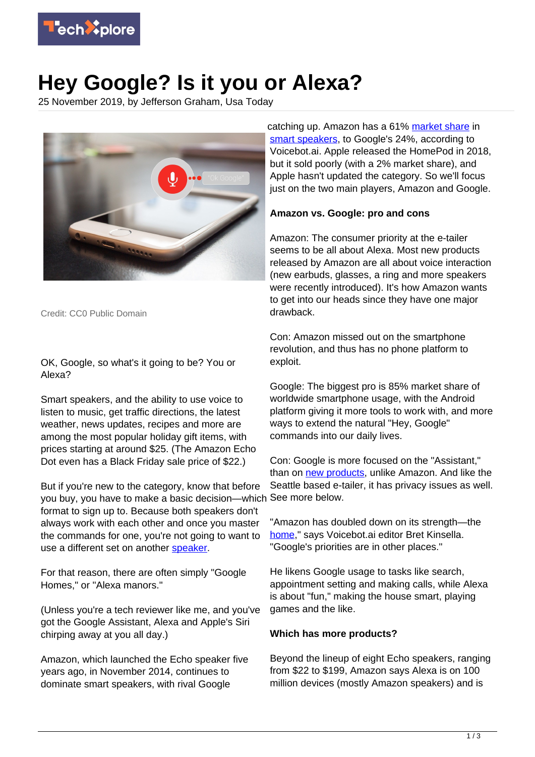

# **Hey Google? Is it you or Alexa?**

25 November 2019, by Jefferson Graham, Usa Today



Credit: CC0 Public Domain

OK, Google, so what's it going to be? You or Alexa?

Smart speakers, and the ability to use voice to listen to music, get traffic directions, the latest weather, news updates, recipes and more are among the most popular holiday gift items, with prices starting at around \$25. (The Amazon Echo Dot even has a Black Friday sale price of \$22.)

But if you're new to the category, know that before you buy, you have to make a basic decision—which See more below. format to sign up to. Because both speakers don't always work with each other and once you master the commands for one, you're not going to want to use a different set on another [speaker.](https://techxplore.com/tags/speaker/)

For that reason, there are often simply "Google Homes," or "Alexa manors."

(Unless you're a tech reviewer like me, and you've got the Google Assistant, Alexa and Apple's Siri chirping away at you all day.)

Amazon, which launched the Echo speaker five years ago, in November 2014, continues to dominate smart speakers, with rival Google

catching up. Amazon has a 61% [market share](https://techxplore.com/tags/market+share/) in [smart speakers,](https://techxplore.com/tags/smart+speakers/) to Google's 24%, according to Voicebot.ai. Apple released the HomePod in 2018, but it sold poorly (with a 2% market share), and Apple hasn't updated the category. So we'll focus just on the two main players, Amazon and Google.

# **Amazon vs. Google: pro and cons**

Amazon: The consumer priority at the e-tailer seems to be all about Alexa. Most new products released by Amazon are all about voice interaction (new earbuds, glasses, a ring and more speakers were recently introduced). It's how Amazon wants to get into our heads since they have one major drawback.

Con: Amazon missed out on the smartphone revolution, and thus has no phone platform to exploit.

Google: The biggest pro is 85% market share of worldwide smartphone usage, with the Android platform giving it more tools to work with, and more ways to extend the natural "Hey, Google" commands into our daily lives.

Con: Google is more focused on the "Assistant," than on [new products,](https://techxplore.com/tags/new+products/) unlike Amazon. And like the Seattle based e-tailer, it has privacy issues as well.

"Amazon has doubled down on its strength—the [home,](https://techxplore.com/tags/home/)" says Voicebot.ai editor Bret Kinsella. "Google's priorities are in other places."

He likens Google usage to tasks like search, appointment setting and making calls, while Alexa is about "fun," making the house smart, playing games and the like.

#### **Which has more products?**

Beyond the lineup of eight Echo speakers, ranging from \$22 to \$199, Amazon says Alexa is on 100 million devices (mostly Amazon speakers) and is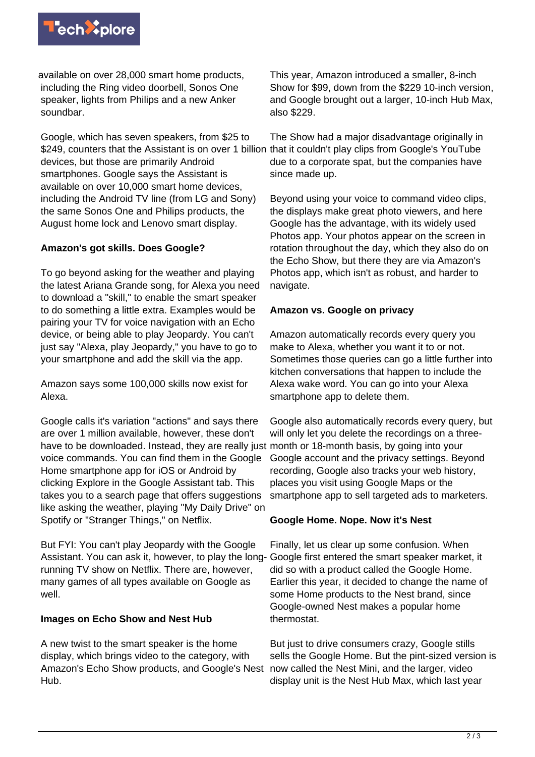

available on over 28,000 smart home products, including the Ring video doorbell, Sonos One speaker, lights from Philips and a new Anker soundbar.

Google, which has seven speakers, from \$25 to \$249, counters that the Assistant is on over 1 billion that it couldn't play clips from Google's YouTube devices, but those are primarily Android smartphones. Google says the Assistant is available on over 10,000 smart home devices, including the Android TV line (from LG and Sony) the same Sonos One and Philips products, the August home lock and Lenovo smart display.

# **Amazon's got skills. Does Google?**

To go beyond asking for the weather and playing the latest Ariana Grande song, for Alexa you need to download a "skill," to enable the smart speaker to do something a little extra. Examples would be pairing your TV for voice navigation with an Echo device, or being able to play Jeopardy. You can't just say "Alexa, play Jeopardy," you have to go to your smartphone and add the skill via the app.

Amazon says some 100,000 skills now exist for Alexa.

Google calls it's variation "actions" and says there are over 1 million available, however, these don't have to be downloaded. Instead, they are really just month or 18-month basis, by going into your voice commands. You can find them in the Google Home smartphone app for iOS or Android by clicking Explore in the Google Assistant tab. This takes you to a search page that offers suggestions like asking the weather, playing "My Daily Drive" on Spotify or "Stranger Things," on Netflix.

But FYI: You can't play Jeopardy with the Google Assistant. You can ask it, however, to play the longrunning TV show on Netflix. There are, however, many games of all types available on Google as well.

# **Images on Echo Show and Nest Hub**

A new twist to the smart speaker is the home display, which brings video to the category, with Amazon's Echo Show products, and Google's Nest Hub.

This year, Amazon introduced a smaller, 8-inch Show for \$99, down from the \$229 10-inch version, and Google brought out a larger, 10-inch Hub Max, also \$229.

The Show had a major disadvantage originally in due to a corporate spat, but the companies have since made up.

Beyond using your voice to command video clips, the displays make great photo viewers, and here Google has the advantage, with its widely used Photos app. Your photos appear on the screen in rotation throughout the day, which they also do on the Echo Show, but there they are via Amazon's Photos app, which isn't as robust, and harder to navigate.

# **Amazon vs. Google on privacy**

Amazon automatically records every query you make to Alexa, whether you want it to or not. Sometimes those queries can go a little further into kitchen conversations that happen to include the Alexa wake word. You can go into your Alexa smartphone app to delete them.

Google also automatically records every query, but will only let you delete the recordings on a three-Google account and the privacy settings. Beyond recording, Google also tracks your web history, places you visit using Google Maps or the smartphone app to sell targeted ads to marketers.

# **Google Home. Nope. Now it's Nest**

Finally, let us clear up some confusion. When Google first entered the smart speaker market, it did so with a product called the Google Home. Earlier this year, it decided to change the name of some Home products to the Nest brand, since Google-owned Nest makes a popular home thermostat.

But just to drive consumers crazy, Google stills sells the Google Home. But the pint-sized version is now called the Nest Mini, and the larger, video display unit is the Nest Hub Max, which last year